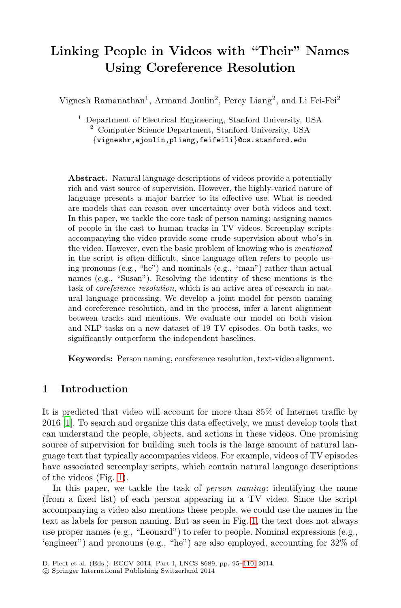# **Linking People in Videos with "Their" Names Using Coreference Resolution**

Vignesh Ramanathan<sup>1</sup>, Armand Joulin<sup>2</sup>, Percy Liang<sup>2</sup>, and Li Fei-Fei<sup>2</sup>

<sup>1</sup> Department of Electrical Engineering, Stanford University, USA <sup>2</sup> Computer Science Department, Stanford University, USA {vigneshr,ajoulin,pliang,feifeili}@cs.stanford.edu

**Abstract.** Natural language descriptions of videos provide a potentially rich and vast source of supervision. However, the highly-varied nature of language presents a major barrier to its effective use. What is needed are models that can reason over uncertainty over both videos and text. In this paper, we tackle the core task of person naming: assigning names of people in the cast to human tracks in TV videos. Screenplay scripts accompanying the video provide some crude supervision about who's in the video. However, even the basic problem of knowing who is *mentioned* in the script is often difficult, since language often refers to people using pronouns (e.g., "he") and nominals (e.g., "man") rather than actual names (e.g., "Susan"). Resolving the identity of these mentions is the task of *coreference resolution*, which is an active area of research in natural language processing. We develop a joint model for person naming and coreference resolution, and in the process, infer a latent alignment between tracks and mentions. We evaluate our model on both vision and NLP tasks on a new dataset of 19 TV episodes. On both tasks, we significantly outperform the independent baselines.

**Keywords:** Person naming, coreference resolution, text-video alignment.

# **[1](#page-1-0) Introduction**

It is predicted that video will account for more than 85% of Internet traffic by 2016 [1]. To search and organize this data effectively, we must develop tools that can understand the people, object[s,](#page-1-0) and actions in these videos. One promising source of supervision for building such tools is the large amount of natural language text that typically accompanies videos. For example, videos of TV episodes have associated screenplay scripts, which contain natural language descriptions of the videos (Fig. 1).

In this paper, we tackle the task of *person naming*: identifying the name (from a fixed list) of each person appearing in a TV video. Since the script accompanying a video also mentions these people, we could use the names in the text as labels for person naming. But as seen in Fig. 1, the text does not always use proper names (e.g., "Leonard") to refer to people. Nominal expressions (e.g., 'engineer") and pronouns (e.g., "he") are also employed, accounting for 32% of

D. Fleet et al. (Eds.): ECCV 2014, Part I, LNCS 8689, pp. 95–110, 2014.

<sup>-</sup>c Springer International Publishing Switzerland 2014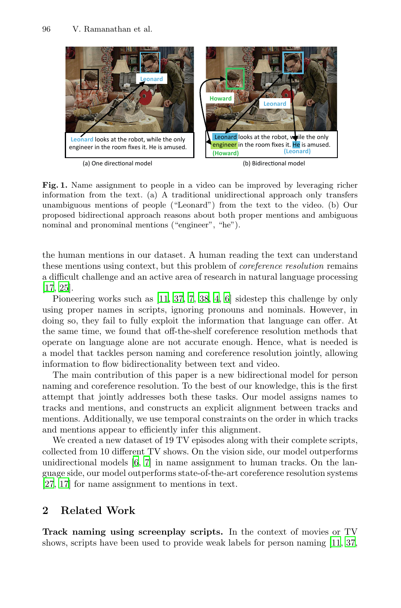<span id="page-1-0"></span>

Fig. 1. Name assignment to people in a video can be improved by leveraging richer information from the text. (a) A traditional unidirectional approach only transfers unambiguous mentions of people ("Leonard") from the text to the video. (b) Our proposed bi[dire](#page-14-0)[ctio](#page-15-0)[nal](#page-14-1) [app](#page-15-1)[ro](#page-14-2)a[ch](#page-14-3) reasons about both proper mentions and ambiguous nominal and pronominal mentions ("engineer", "he").

the human mentions in our dataset. A human reading the text can understand these mentions using context, but this problem of *coreference resolution* remains a difficult challenge and an active area of research in natural language processing [17, 25].

Pioneering works such as [11, 37, 7, 38, 4, 6] sidestep this challenge by only using proper names in scripts, ignoring pronouns and nominals. However, in doing so, they fail to fully exploit the information that language can offer. At the same time, we found that off-the-shelf coreference resolution methods that operate on language alone are not accurate enough. Hence, what is needed is a model that tackles person naming and coreference resolution jointly, allowing information to flow bidirectionality between text and video.

T[he](#page-14-3) [m](#page-14-1)ain contribution of this paper is a new bidirectional model for person naming and coreference resolution. To the best of our knowledge, this is the first attempt that jointly addresses both these tasks. Our model assigns names to tracks and mentions, and constructs an explicit alignment between tracks and mentions. Additionally, we use temporal constraints on the order in which tracks and mentions appear to efficiently infer this alignment.

We created a new dataset of 19 TV episodes along with their complete scripts, collected from 10 different TV shows. On the vision side, our model outperforms unidirectional models [6, 7] in name assignment to h[uma](#page-14-0)[n](#page-15-0) [tr](#page-15-0)acks. On the language side, our model outperforms state-of-the-art coreference resolution systems [27, 17] for name assignment to mentions in text.

# **2 Related Work**

**Track naming using screenplay scripts.** In the context of movies or TV shows, scripts have been used to provide weak labels for person naming [11, 37,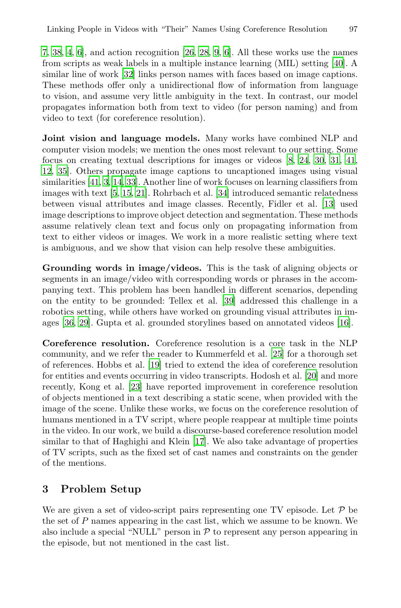7, 38, 4, 6], and action recognition [26, 28, 9, 6]. All these works use the names from scripts as weak labels in a multiple instance learning (MIL) setting [40]. A similar line of work [32] links person names [w](#page-14-4)i[th f](#page-15-2)[aces](#page-15-3) [ba](#page-15-4)s[ed o](#page-15-5)n image captions. These methods offer only a unidirectional flow of information from language [to](#page-14-5) [visi](#page-15-6)on, and assume very little ambiguity in the text. In contrast, our model [p](#page-14-6)[rop](#page-14-7)[aga](#page-14-8)tes information b[oth](#page-15-7) from text to video (for person naming) and from video to text (for coreference resolution).

**Joint vision and language models.** Many works have combined NLP and computer vision models; we mention the ones most relevant to our setting. Some focus on creating textual descriptions for images or videos [8, 24, 30, 31, 41, 12, 35]. Others propagate image captions to uncaptioned images using visual similarities [41, 3, 14, 33]. Another line of work focuses on learning classifiers from images with text [5, 15, 21]. Rohrbach et al. [34] introduced semantic relatedness between visual attributes and image classes. Recently, Fidler et al. [13] used image descriptions to impro[ve o](#page-15-8)bject detection and segmentation. These methods assume relatively clean text and focus only on propagating information from text to either videos or images. We work in a more real[isti](#page-14-9)c setting where text is ambiguous, and we show that vision can help resolve these ambiguities.

**Grounding words in image/videos.** [T](#page-15-9)his is the task of aligning objects or segments [in](#page-14-10) an image/video with corresponding words or phrases in the accompanying text. This problem has been handled i[n di](#page-14-11)fferent scenarios, depending on [the](#page-15-10) entity to be grounded: Tellex et al. [39] addressed this challenge in a robotics setting, while others have worked on grounding visual attributes in images [36, 29]. Gupta et al. grounded storylines based on annotated videos [16].

**Coreference resolution.** Coreference resolution is a core task in the NLP community, and we [refe](#page-14-12)r the reader to Kummerfeld et al. [25] for a thorough set of references. Hobbs et al. [19] tried to extend the idea of coreference resolution for entities and events occurring in video transcripts. Hodosh et al. [20] and more recently, Kong et al. [23] have reported improvement in coreference resolution of objects mentioned in a text describing a static scene, when provided with the image of the scene. Unlike these works, we focus on the coreference resolution of humans mentioned in a TV script, where people reappear at multiple time points in the video. In our work, we build a discourse-based coreference resolution model similar to that of Haghighi and Klein [17]. We also take advantage of properties of TV scripts, such as the fixed set of cast names and constraints on the gender of the mentions.

## **3 Problem Setup**

We are given a set of video-script pairs representing one TV episode. Let  $P$  be the set of P names appearing in the cast list, which we assume to be known. We also include a special "NULL" person in  $P$  to represent any person appearing in the episode, but not mentioned in the cast list.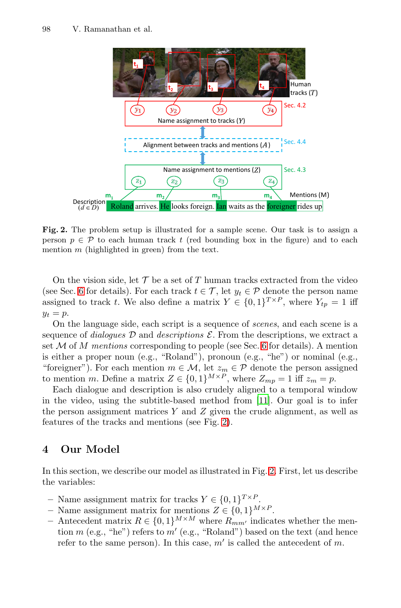<span id="page-3-0"></span>

**Fig. 2.** The problem setup is illustrated for a sample scene. Our task is to assign a person  $p \in \mathcal{P}$  to each human track  $t$  (red bounding box in the figure) and to each mention *m* (highlighted in green) from the text.

On the vision side, let  $\mathcal T$  be a set of  $T$  human tracks extracted from the video (see Sec. 6 for details). For each track  $t \in \mathcal{T}$ , let  $y_t \in \mathcal{P}$  denote the person name assigned to track t. We also define a matrix  $Y \in \{0,1\}^{T \times P}$ , where  $Y_{tp} = 1$  iff  $y_t = p$ .

On the language side, each script [is](#page-14-0) [a](#page-14-0) sequence of *scenes*, and each scene is a sequence of *[d](#page-3-0)ialogues*  $D$  and *descriptions*  $\mathcal{E}$ . From the descriptions, we extract a set M of M *mentions* corresponding to people (see Sec. 6 for details). A mention is either a proper noun (e.g., "Roland"), pronoun (e.g., "he") or nominal (e.g., "foreigner"). For each mention  $m \in \mathcal{M}$ , let  $z_m \in \mathcal{P}$  denote the person assigned to mention m. Define a matrix  $Z \in \{0,1\}^{M \times P}$ , where  $Z_{mp} = 1$  iff  $z_m = p$ .

Each dialogue and description is als[o](#page-3-0) crudely aligned to a temporal window in the video, using the subtitle-based method from [11]. Our goal is to infer the person assignment matrices  $Y$  and  $Z$  given the crude alignment, as well as features of the tracks and mentions (see Fig. 2).

# **4 Our Model**

In this section, we describe our model as illustrated in Fig. 2. First, let us describe the variables:

- Name assignment matrix for tracks  $Y \in \{0,1\}^{T \times P}$ .
- **–** Name assignment matrix for mentions  $Z \in \{0, 1\}^{M \times P}$ .
- **−** Antecedent matrix  $R \in \{0, 1\}^{M \times M}$  where  $R_{mm'}$  indicates whether the mention  $m$  (e.g., "he") refers to  $m'$  (e.g., "Roland") based on the text (and hence refer to the same person). In this case,  $m'$  is called the antecedent of m.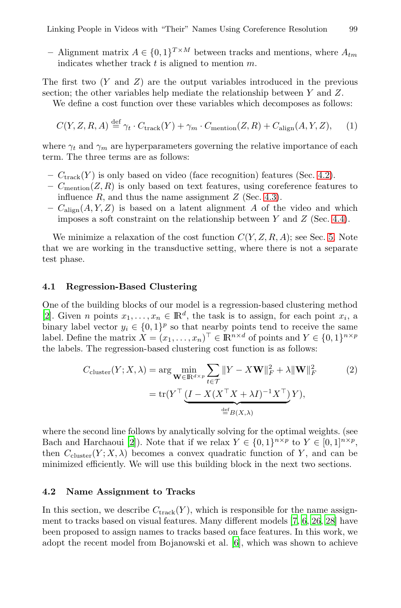<span id="page-4-2"></span>Linking People in Videos with "Their" Names Using Coreference Resolution 99

– Alignment matrix  $A \in \{0, 1\}^{T \times M}$  between tracks and mentions, where  $A_{tm}$ indicates whether track  $t$  is aligned to mention  $m$ .

The first two  $(Y \text{ and } Z)$  are the output variables introduced in the previous section; the other variables help mediate the relati[onsh](#page-4-0)ip between Y and Z.

We define a cost function over these variables which decomposes as follows:

<span id="page-4-1"></span>
$$
C(Y, Z, R, A) \stackrel{\text{def}}{=} \gamma_t \cdot C_{\text{track}}(Y) + \gamma_m \cdot C_{\text{mentation}}(Z, R) + C_{\text{align}}(A, Y, Z), \tag{1}
$$

where  $\gamma_t$  and  $\gamma_m$  are hyperparameters governing the r[ela](#page-7-0)tive importance of each term. The three terms are as follows:

- $C_{\text{track}}(Y)$  is only based on video (face recognition) features (Sec. 4.2).
- $-$  C<sub>mention</sub> $(Z, R)$  is only based on text features, using coreference features to influence  $R$ , and thus the name assignment  $Z$  (Sec. 4.3).
- $-C_{\text{align}}(A, Y, Z)$  is based on a latent alignment A of the video and which imposes a soft constraint on the relationship between  $Y$  and  $Z$  (Sec. 4.4).

We minimize a relaxation of the cost function  $C(Y, Z, R, A)$ ; see Sec. 5. Note that we are working in the transductive setting, where there is not a separate test phase.

#### **4.1 Regression-Based Clustering**

<span id="page-4-0"></span>One of the building blocks of our model is a regression-based clustering method [2]. Given *n* points  $x_1, \ldots, x_n \in \mathbb{R}^d$ , the task is to assign, for each point  $x_i$ , a binary label vector  $y_i \in \{0,1\}^p$  so that nearby points tend to receive the same label. Define the matrix  $X = (x_1, \ldots, x_n)^\top \in \mathbb{R}^{n \times d}$  of points and  $Y \in \{0, 1\}^{n \times p}$ the [la](#page-13-0)bels. The regression-based clustering cost function is as follows:

$$
C_{\text{cluster}}(Y; X, \lambda) = \arg \min_{\mathbf{W} \in \mathbb{R}^{d \times p}} \sum_{t \in \mathcal{T}} \|Y - X\mathbf{W}\|_F^2 + \lambda \|\mathbf{W}\|_F^2 \tag{2}
$$

$$
= \text{tr}(Y^\top \underbrace{(I - X(X^\top X + \lambda I)^{-1} X^\top)}_{\stackrel{\text{def}}{=} B(X, \lambda)} Y),
$$

where the second line follows by analytically [sol](#page-14-1)[vi](#page-14-3)[ng f](#page-15-11)[or t](#page-15-12)he optimal weights. (see Bach and Harchaoui [2]). Note that if we relax  $Y \in \{0,1\}^{n \times p}$  to  $Y \in [0,1]^{n \times p}$ , then  $C_{\text{cluster}}(Y; X, \lambda)$  $C_{\text{cluster}}(Y; X, \lambda)$  $C_{\text{cluster}}(Y; X, \lambda)$  becomes a convex quadratic function of Y, and can be minimized efficiently. We will use this building block in the next two sections.

## **4.2 Name Assignment to Tracks**

In this section, we describe  $C_{\text{track}}(Y)$ , which is responsible for the name assignment to tracks based on visual features. Many different models [7, 6, 26, 28] have been proposed to assign names to tracks based on face features. In this work, we adopt the recent model from Bojanowski et al. [6], which was shown to achieve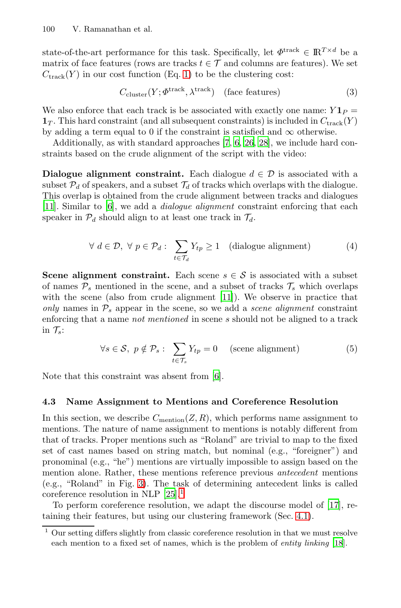state-of-the-art performance for this task. Specifically, let  $\Phi^{\text{track}} \in \mathbb{R}^{T \times d}$  be a matrix of face feature[s](#page-14-1) (rows [are](#page-14-3) [tra](#page-15-11)[cks](#page-15-12)  $t \in \mathcal{T}$  and columns are features). We set  $C_{\text{track}}(Y)$  in our cost function (Eq. 1) to be the clustering cost:

$$
C_{\text{cluster}}(Y; \Phi^{\text{track}}, \lambda^{\text{track}}) \quad \text{(face features)} \tag{3}
$$

We also enforce that each track is be associated with exactly one name:  $Y1_P =$  $\mathbf{1}_T$ . This hard constraint (and all subsequent constraints) is included in  $C_{\text{track}}(Y)$ by adding a term equal to 0 if the constraint is satisfied and  $\infty$  otherwise.

Additionally, as with standard approaches [7, 6, 26, 28], we include hard constraints based on the crude alignment of the script with the video:

**Dialogue alignment constraint.** Each dialogue  $d \in \mathcal{D}$  is associated with a subset  $P_d$  of speakers, and a subset  $T_d$  of tracks which overlaps with the dialogue. This overlap is obtained from the crude alignment between tracks and dialogues [11]. Similar to [6], we add a *dialogue alignment* constraint enforcing that each speaker in  $\mathcal{P}_d$  should align [to](#page-14-0) at least one track in  $\mathcal{T}_d$ .

$$
\forall d \in \mathcal{D}, \ \forall p \in \mathcal{P}_d: \ \sum_{t \in \mathcal{T}_d} Y_{tp} \ge 1 \quad \text{(dialogue alignment)} \tag{4}
$$

<span id="page-5-1"></span>**Scene alignment constraint.** Each scene  $s \in \mathcal{S}$  is associated with a subset of names  $P_s$  mentioned [in](#page-14-3) the scene, and a subset of tracks  $\mathcal{T}_s$  which overlaps with the scene (also from crude alignment [11]). We observe in practice that *only* names in  $P_s$  appear in the scene, so we add a *scene alignment* constraint enforcing that a name *not mentioned* in scene s should not be aligned to a track in  $\mathcal{T}_s$ :

$$
\forall s \in \mathcal{S}, \ p \notin \mathcal{P}_s: \ \sum_{t \in \mathcal{T}_s} Y_{tp} = 0 \quad \text{(scene alignment)} \tag{5}
$$

<span id="page-5-0"></span>Note that this constraint was absent from [6].

## **4.3 [N](#page-6-0)ame Assignment to Mentions and Coreference Resolution**

In this sectio[n,](#page-15-9) [we](#page-5-0) describe  $C_{\text{mentioned}}(Z, R)$ , which perf[orm](#page-14-12)s name assignment to mentions. The nature of name assignment to [men](#page-4-1)tions is notably different from that of tracks. Proper mentions such as "Roland" are trivial to map to the fixed set of cast names based on string match, but nominal (e.g., "foreigner") and pronominal (e.g., "he") mentions are virtually impossib[le](#page-14-13) [t](#page-14-13)o assign based on the mention alone. Rather, these mentions reference previous *antecedent* mentions (e.g., "Roland" in Fig. 3). The task of determining antecedent links is called coreference resolution in NLP  $[25].<sup>1</sup>$ 

To perform coreference resolution, we adapt the discourse model of [17], retaining their features, but using our clustering framework (Sec. 4.1).

<sup>1</sup> Our setting differs slightly from classic coreference resolution in that we must resolve each mention to a fixed set of names, which is the problem of *entity linking* [18].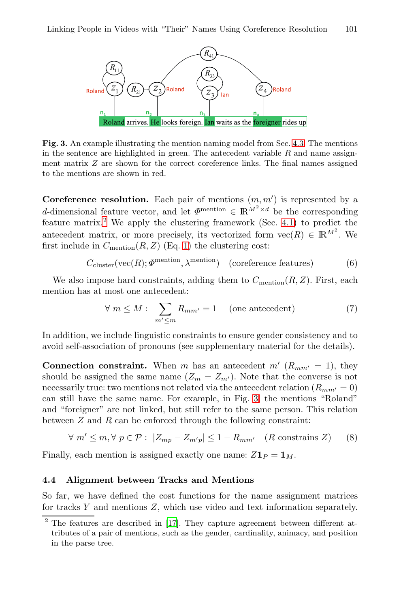<span id="page-6-0"></span>

**Fig. 3.** An example illustrating the mention n[amin](#page-4-1)g model from Sec. 4.3. The mentions in the sentence are highlighted in green. The antecedent variable *R* and name assignment matrix *Z* ar[e s](#page-4-2)hown for the correct coreference links. The final names assigned to the mentions are shown in red.

**Coreference resolution.** Each pair of mentions  $(m, m')$  is represented by a d-dimensional feature vector, and let  $\Phi^{\text{mentioned}} \in \mathbb{R}^{M^2 \times d}$  be the corresponding feature matrix.<sup>2</sup> We apply the clustering framework (Sec. 4.1) to predict the antecedent matrix, or more precisely, its vectorized form  $\text{vec}(R) \in \mathbb{R}^{M^2}$ . We first include in  $C_{\text{mentation}}(R, Z)$  (Eq. 1) the clustering cost:

$$
C_{\text{cluster}}(\text{vec}(R); \Phi^{\text{mentioned}}, \lambda^{\text{mentioned}}) \quad \text{(coreference features)} \tag{6}
$$

We also impose hard constraints, adding them to  $C_{\text{mentation}}(R, Z)$ . First, each mention has at most one antecedent:

$$
\forall m \le M : \sum_{m' \le m} R_{mm'} = 1 \quad \text{(one antecedent)} \tag{7}
$$

In addition, we include linguistic constraints to ensure gender consistency and to avoid self-association of pronouns (see supplementary material for the details).

**Connection constraint.** When m has an antecedent  $m'$  ( $R_{mm'} = 1$ ), they should be assigned the same name  $(Z_m = Z_{m'})$ . Note that the converse is not necessarily true: two mentions not related via the antecedent relation  $(R_{mm'} = 0)$ can still have the same name. For example, in Fig. 3, the mentions "Roland" and "foreigner" are not linked, but still refer to the same person. This relation between  $Z$  and  $R$  can be enforced through the following constraint:

 $\forall m' \leq m, \forall p \in \mathcal{P}: |Z_{mp} - Z_{m'p}| \leq 1 - R_{mm'} \quad (R \text{ constrains } Z)$  $\forall m' \leq m, \forall p \in \mathcal{P}: |Z_{mp} - Z_{m'p}| \leq 1 - R_{mm'} \quad (R \text{ constrains } Z)$  $\forall m' \leq m, \forall p \in \mathcal{P}: |Z_{mp} - Z_{m'p}| \leq 1 - R_{mm'} \quad (R \text{ constrains } Z)$  (8)

Finally, each mention is assigned exactly one name:  $Z\mathbf{1}_P = \mathbf{1}_M$ .

## **4.4 Alignment between Tracks and Mentions**

So far, we have defined the cost functions for the name assignment matrices for tracks Y and mentions Z, which use video and text information separately.

<sup>&</sup>lt;sup>2</sup> The features are described in [17]. They capture agreement between different attributes of a pair of mentions, such as the gender, cardinality, animacy, and position in the parse tree.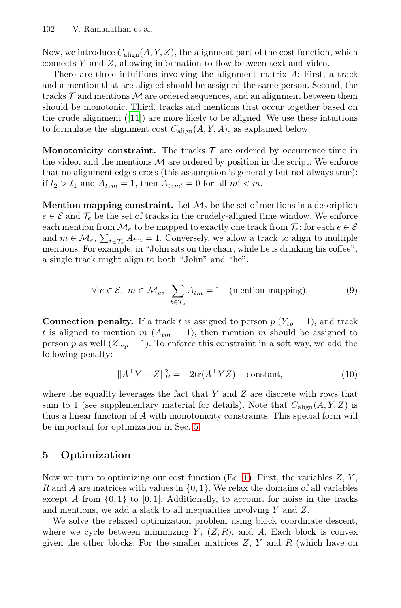Now, we introduce  $C_{\text{align}}(A, Y, Z)$ , the alignment part of the cost function, which connects Y and Z, allowing information to flow between text and video.

There are three intuitions involving the alignment matrix A: First, a track and a mention that are aligned should be assigned the same person. Second, the tracks  $\mathcal T$  and mentions  $\mathcal M$  are ordered sequences, and an alignment between them should be monotonic. Third, tracks and mentions that occur together based on the crude alignment  $([11])$  are more likely to be aligned. We use these intuitions to formulate the alignment cost  $C_{\text{align}}(A, Y, A)$ , as explained below:

**Monotonicity constraint.** The tracks  $\mathcal{T}$  are ordered by occurrence time in the video, and the mentions  $\mathcal M$  are ordered by position in the script. We enforce that no alignment edges cross (this assumption is generally but not always true): if  $t_2 > t_1$  and  $A_{t_1m} = 1$ , then  $A_{t_2m'} = 0$  for all  $m' < m$ .

**Mention mapping constraint.** Let  $\mathcal{M}_{e}$  be the set of mentions in a description  $e \in \mathcal{E}$  and  $\mathcal{T}_e$  be the set of tracks in the crudely-aligned time window. We enforce each mention from  $\mathcal{M}_e$  to be mapped to exactly one track from  $\mathcal{T}_e$ : for each  $e \in \mathcal{E}$ and  $m \in \mathcal{M}_e$ ,  $\sum_{t \in \mathcal{T}_e} A_{tm} = 1$ . Conversely, we allow a track to align to multiple mentions. For example, in "John sits on the chair, while he is drinking his coffee", a single track might align to both "John" and "he".

$$
\forall e \in \mathcal{E}, m \in \mathcal{M}_e, \sum_{t \in \mathcal{T}_e} A_{tm} = 1 \quad \text{(mentioned mapping)}.
$$
 (9)

<span id="page-7-0"></span>**Connection penalty.** If a track t is assigned to person  $p(Y_{tp} = 1)$ , and track t is aligned to mention  $m\ (A_{tm} = 1)$ , then mention m should be assigned to person p as well  $(Z_{mp} = 1)$  $(Z_{mp} = 1)$  $(Z_{mp} = 1)$ . To enforce this constraint in a soft way, we add the following penalty:

$$
||ATY - Z||F2 = -2tr(ATYZ) + constant,
$$
\n(10)

where the equality leverages the [fa](#page-4-2)ct that  $Y$  and  $Z$  are discrete with rows that sum to 1 (see supplementary material for details). Note that  $C_{\text{align}}(A, Y, Z)$  is thus a linear function of A with monotonicity constraints. This special form will be important for optimization in Sec. 5.

# **5 Optimization**

Now we turn to optimizing our cost function  $(Eq. 1)$ . First, the variables  $Z, Y$ , R and A are matrices with values in  $\{0, 1\}$ . We relax the domains of all variables except A from  $\{0,1\}$  to  $[0,1]$ . Additionally, to account for noise in the tracks and mentions, we add a slack to all inequalities involving Y and Z.

We solve the relaxed optimization problem using block coordinate descent, where we cycle between minimizing  $Y$ ,  $(Z, R)$ , and A. Each block is convex given the other blocks. For the smaller matrices  $Z, Y$  and  $R$  (which have on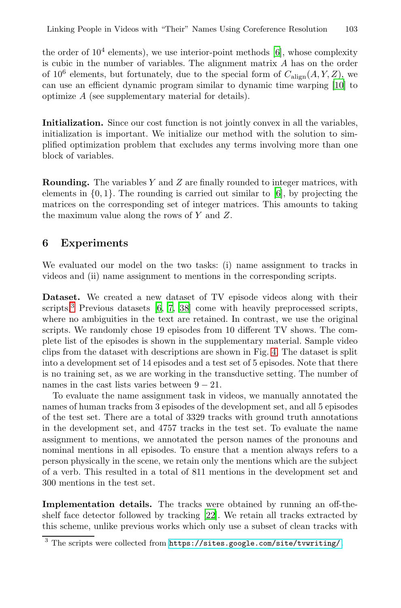the order of  $10<sup>4</sup>$  elements), we use interior-point methods [6], whose complexity is cubic in the number of variables. The alignment matrix A has on the order of 10<sup>6</sup> elements, but fortunately, due to the special form of  $C_{\text{align}}(A, Y, Z)$ , we can use an efficient dynamic program similar to dynamic time warping [10] to optimize A (see supplementary material for details).

**Initialization.** Since our cost function is not jointly convex in all the variables, initialization is important. We initialize our method with the solution to simplified optimization problem that excludes any terms involving more than one block of variables.

**Rounding.** The variables Y and Z are finally rounded to integer matrices, with elements in  $\{0, 1\}$ . The rounding is carried out similar to [6], by projecting the matrices on the corresponding set of integer matrices. This amounts to taking the maxi[mu](#page-14-3)[m](#page-14-1) [v](#page-14-1)[alue](#page-15-1) along the rows of Y and Z.

## **6 Experiments**

We evaluated our model on the two t[as](#page-9-0)ks: (i) name assignment to tracks in videos and (ii) name assignment to mentions in the corresponding scripts.

**Dataset.** We created a new dataset of TV episode videos along with their scripts.<sup>3</sup> Previous datasets  $[6, 7, 38]$  come with heavily preprocessed scripts, where no ambiguities in the text are retained. In contrast, we use the original scripts. We randomly chose 19 episodes from 10 different TV shows. The complete list of the episodes is shown in the supplementary material. Sample video clips from the dataset with descriptions are shown in Fig. 4. The dataset is split into a development set of 14 episodes and a test set of 5 episodes. Note that there is no training set, as we are working in the transductive setting. The number of names in the cast lists varies between  $9 - 21$ .

To evaluate the name assignment task in videos, we manually annotated the names of human tracks from 3 episodes of the development set, and all 5 episodes of the test set. There are a total of 3329 tracks with ground truth annotations in the development set[, a](#page-15-13)nd 4757 tracks in the test set. To evaluate the name assignment to mentions, we annotated the person names of the pronouns and nominal mentions in all episodes. To ensure that a mention always refers to a person physic[ally in the scene, we retain only the mentions](https://sites.google.com/site/tvwriting/) which are the subject of a verb. This resulted in a total of 811 mentions in the development set and 300 mentions in the test set.

**Implementation details.** The tracks were obtained by running an off-theshelf face detector followed by tracking [22]. We retain all tracks extracted by this scheme, unlike previous works which only use a subset of clean tracks with

<sup>&</sup>lt;sup>3</sup> The scripts were collected from https://sites.google.com/site/tvwriting/.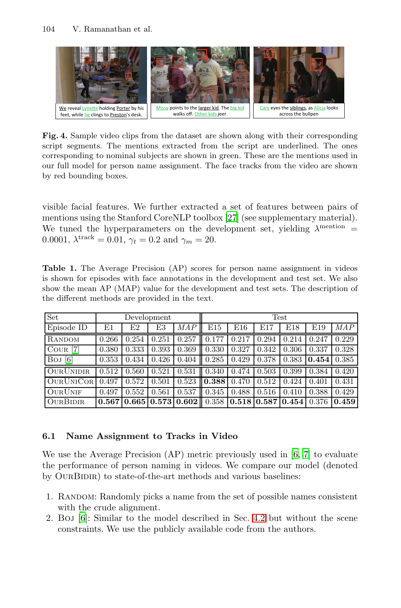<span id="page-9-0"></span>

**Fig. 4.** Sample video clips fro[m th](#page-15-14)e dataset are shown along with their corresponding script segments. The mentions extracted from the script are underlined. The ones corresponding to nominal subjects are shown in green. These are the mentions used in our full model for person name assignment. The face tracks from the video are shown by red bounding boxes.

visible facial features. We further extracted a set of features between pairs of mentions using the Stanford CoreNLP toolbox [27] (see supplementary material). We tuned the hyperparameters on the development set, yielding  $\lambda^{\text{mentioned}}$ 0.0001,  $\lambda^{\text{track}} = 0.01$ ,  $\gamma_t = 0.2$  and  $\gamma_m = 20$ .

Table 1. The Average Precision (AP) scores for person name assignment in videos is shown for episodes with face annotations in the development and test set. We also show the mean AP (MAP) value for the development and test sets. The description of the different methods are provided in the text.

| Set                      | Development |       |       |                                                               | Test  |       |       |                       |       |            |
|--------------------------|-------------|-------|-------|---------------------------------------------------------------|-------|-------|-------|-----------------------|-------|------------|
| Episode ID               | E1          | E2    | E3    | <i>MAP</i>                                                    | E15   | E16   | E17   | E18                   | E19   | <b>MAP</b> |
| RANDOM                   | 0.266       | 0.254 | 0.251 | 0.257                                                         | 0.177 | 0.217 | 0.294 | 0.214                 | 0.247 | 0.229      |
| $C$ our [7]              | 0.380       | 0.333 | 0.393 | 0.369                                                         | 0.330 | 0.327 | 0.342 | 0.306                 | 0.337 | 0.328      |
| $\lceil 6 \rceil$<br>Boj | 0.353       | 0.434 | 0.426 | 0.404                                                         | 0.285 | 0.429 | 0.378 | 0.383                 | 0.454 | 0.385      |
| <b>OURUNIDIR</b>         | 0.512       | 0.560 | 0.521 | 0.531                                                         | 0.340 | 0.474 | 0.503 | 0.399                 | 0.384 | 0.420      |
| <b>OURUNICOR</b>         | 0.497       | 0.572 | 0.501 | 0.523                                                         | 0.388 | 0.470 | 0.512 | 0.424                 | 0.401 | 0.431      |
| <b>OURUNIF</b>           | 0.497       | 0.552 | 0.561 | 0.537                                                         | 0.345 | 0.488 | 0.516 | 0.410                 | 0.388 | 0.429      |
| <b>OURBIDIR</b>          | 0.567       |       |       | $\vert 0.665 \vert 0.573 \vert 0.602 \vert \vert 0.358 \vert$ |       | 0.518 |       | 0.587   0.454   0.376 |       | 0.459      |

#### **6.1 Name Assignment to Tra[cks](#page-4-0) in Video**

We use the Average Precision (AP) metric previously used in [6, 7] to evaluate the performance of person naming in videos. We compare our model (denoted by OURBIDIR) to state-of-the-art methods and various baselines:

- 1. Random: Randomly picks a name from the set of possible names consistent with the crude alignment.
- 2. Boj [6]: Similar to the model described in Sec. 4.2 but without the scene constraints. We use the publicly available code from the authors.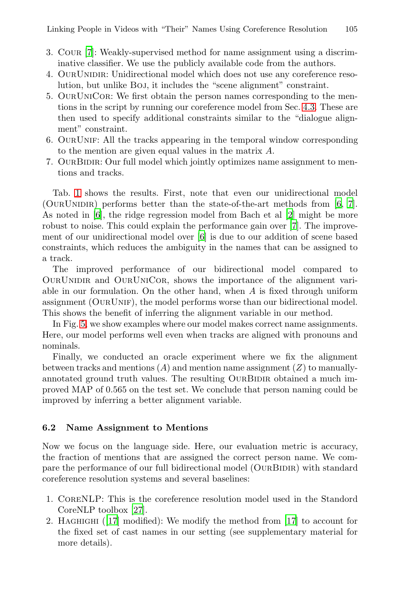Linking People in Videos with "Their" Names Us[ing](#page-5-1) [C](#page-5-1)oreference Resolution 105

- 3. Cour [7]: Weakly-supervised method for name assignment using a discriminative classifier. We use the publicly available code from the authors.
- 4. OurUnidir: Unidirectional model which does not use any coreference resolution, but unlike Boj, it includes the "scene alignment" constraint.
- 5. OurUniCor: We first obtain the person names corresponding to the mentions in the script by running our coreference model from Sec. 4.3. These are then used to specify additional constraints similar [to](#page-14-3) [th](#page-14-1)e "dialogue alignment" constraint.
- 6. OurUnif: All the tracks appearing in t[he](#page-14-1) temporal window corresponding to the mention a[re](#page-14-3) given equal values in the matrix A.
- 7. OurBidir: Our full model which jointly optimizes name assignment to mentions and tracks.

Tab. 1 shows the results. First, note that even our unidirectional model (OURUNIDIR) performs better than the state-of-the-art methods from  $[6, 7]$ . As noted in [6], the ridge regression model from Bach et al [2] might be more robust to noise. This could explain the performance gain over [7]. The improvement of our unidirectional model over [6] is due to our addition of scene based constraints, which reduces the ambiguity in the names that can be assigned to a track.

The improved performance of our bidirectional model compared to OurUnidir and OurUniCor, shows the importance of the alignment variable in our formulation. On the other hand, when A is fixed through uniform assignment (OurUnif), the model performs worse than our bidirectional model. This shows the benefit of inferring the alignment variable in our method.

In Fig. 5, we show examples where our model makes correct name assignments. Here, our model performs well even when tracks are aligned with pronouns and nominals.

Finally, we conducted an oracle experiment where we fix the alignment between tracks and mentions  $(A)$  and mention name assignment  $(Z)$  to manuallyannotated ground truth values. The resulting OURBIDIR obtained a much improved MAP of 0.565 on the test set. We conclude that person naming could be improved by inferring a better alignment variable.

#### **[6](#page-14-12).2 [N](#page-15-14)ame Assignment to Mentions**

Now we focus on the language side. Here, our evaluation metric is accuracy, the fraction of mentions that are assigned the correct person name. We compare the performance of our full bidirectional model (OURBIDIR) with standard coreference resolution systems and several baselines:

- 1. CoreNLP: This is the coreference resolution model used in the Standord CoreNLP toolbox [27].
- 2. HAGHIGHI ([17] modified): We modify the method from [17] to account for the fixed set of cast names in our setting (see supplementary material for more details).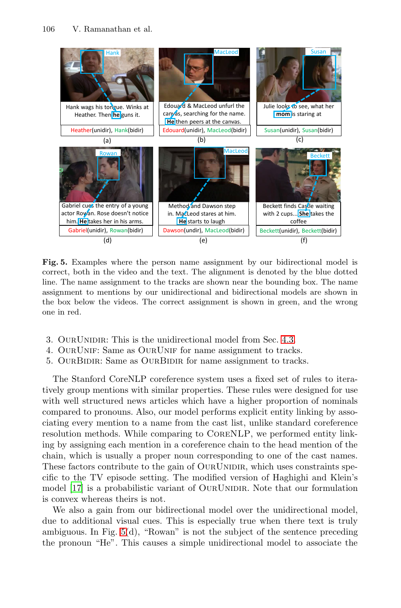<span id="page-11-0"></span>

**Fig. 5.** Examples where the person name a[ssign](#page-5-1)ment by our bidirectional model is correct, both in the video and the text. The alignment is denoted by the blue dotted line. The name assignment to the tracks are shown near the bounding box. The name assignment to mentions by our unidirectional and bidirectional models are shown in the box below the videos. The correct assignment is shown in green, and the wrong one in red.

- 3. OurUnidir: This is the unidirectional model from Sec. 4.3.
- 4. OurUnif: Same as OurUnif for name assignment to tracks.
- 5. OURBIDIR: Same as OURBIDIR for name assignment to tracks.

The Stanford CoreNLP coreference system uses a fixed set of rules to iteratively group mentions with similar properties. These rules were designed for use with well structured news articles which have a higher proportion of nominals compared to pronouns. Also, our model performs explicit entity linking by associating every mention to a name from the cast list, unlike standard coreference resolution methods. While comparing to CoreNLP, we performed entity linki[ng](#page-11-0) by assigning each mention in a coreference chain to the head mention of the chain, which is usually a proper noun corresponding to one of the cast names. These factors contribute to the gain of OURUNIDIR, which uses constraints specific to the TV episode setting. The modified version of Haghighi and Klein's model [17] is a probabilistic variant of OURUNIDIR. Note that our formulation is convex whereas theirs is not.

We also a gain from our bidirectional model over the unidirectional model, due to additional visual cues. This is especially true when there text is truly ambiguous. In Fig. 5(d), "Rowan" is not the subject of the sentence preceding the pronoun "He". This causes a simple unidirectional model to associate the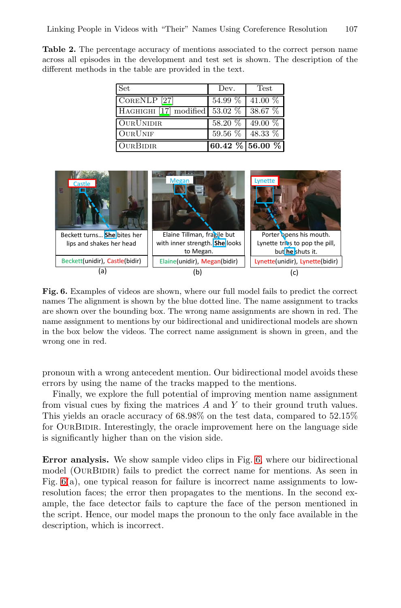Linking Pe[opl](#page-14-12)e in Videos with "Their" Names Using Coreference Resolution 107

**Table 2.** The percentage accuracy of mentions associated to the correct person name across all episodes in the development and test set is shown. The description of the different methods in the table are provided in the text.

| <b>Set</b>              | Dev.                    | Test                 |
|-------------------------|-------------------------|----------------------|
| CORENLP <sup>[27]</sup> | 54.99 %                 | 41.00 %              |
| HAGHIGHI [17] modified  | 53.02 %                 | $38.67\%$            |
| <b>OURUNIDIR</b>        | 58.20 %                 | 49.00 %              |
| <b>OURUNIF</b>          | 59.56 $\%$   48.33 $\%$ |                      |
| <b>OURBIDIR</b>         |                         | $60.42\%$ 56.00 $\%$ |

<span id="page-12-0"></span>

**Fig. 6.** Examples of videos are shown, where our full model fails to predict the correct names The alignment is shown by the blue dotted line. The name assignment to tracks are shown over the bounding box. The wrong name assignments are shown in red. The name assignment to mentions by our bidirectional and unidirectional models are shown in the box below the videos. The correct name assignment is shown in green, and the wrong one in red.

pronoun with a wrong antecedent [men](#page-12-0)tion. Our bidirectional model avoids these errors by using the name of the tracks mapped to the mentions.

Finally, we explore the full potential of improving mention name assignment from visual cues by fixing the matrices  $A$  and  $Y$  to their ground truth values. This yields an oracle accuracy of 68.98% on the test data, compared to 52.15% for OURBIDIR. Interestingly, the oracle improvement here on the language side is significantly higher than on the vision side.

**Error analysis.** We show sample video clips in Fig. 6, where our bidirectional model (OURBIDIR) fails to predict the correct name for mentions. As seen in Fig. 6(a), one typical reason for failure is incorrect name assignments to lowresolution faces; the error then propagates to the mentions. In the second example, the face detector fails to capture the face of the person mentioned in the script. Hence, our model maps the pronoun to the only face available in the description, which is incorrect.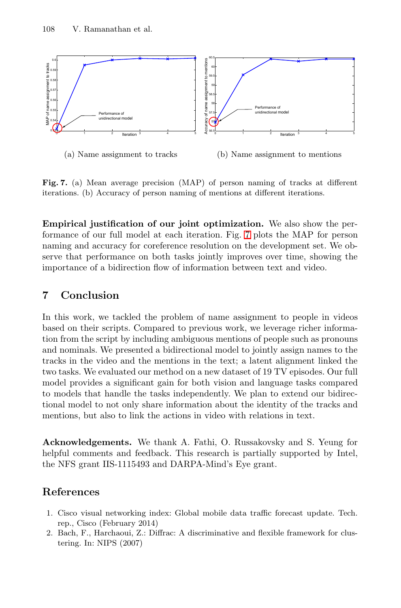<span id="page-13-1"></span>

**Fig. 7.** (a) Mean average precision (MAP) of person naming of tracks at different iterations. (b) Accuracy of person naming of mentions at different iterations.

**Empirical justification of our joint optimization.** We also show the performance of our full model at each iteration. Fig. 7 plots the MAP for person naming and accuracy for coreference resolution on the development set. We observe that performance on both tasks jointly improves over time, showing the importance of a bidirection flow of information between text and video.

# **7 Conclusion**

<span id="page-13-0"></span>In this work, we tackled the problem of name assignment to people in videos based on their scripts. Compared to previous work, we leverage richer information from the script by including ambiguous mentions of people such as pronouns and nominals. We presented a bidirectional model to jointly assign names to the tracks in the video and the mentions in the text; a latent alignment linked the two tasks. We evaluated our method on a new dataset of 19 TV episodes. Our full model provides a significant gain for both vision and language tasks compared to models that handle the tasks independently. We plan to extend our bidirectional model to not only share information about the identity of the tracks and mentions, but also to link the actions in video with relations in text.

**Acknowledgements.** We thank A. Fathi, O. Russakovsky and S. Yeung for helpful comments and feedback. This research is partially supported by Intel, the NFS grant IIS-1115493 and DARPA-Mind's Eye grant.

# **References**

- 1. Cisco visual networking index: Global mobile data traffic forecast update. Tech. rep., Cisco (February 2014)
- 2. Bach, F., Harchaoui, Z.: Diffrac: A discriminative and flexible framework for clustering. In: NIPS (2007)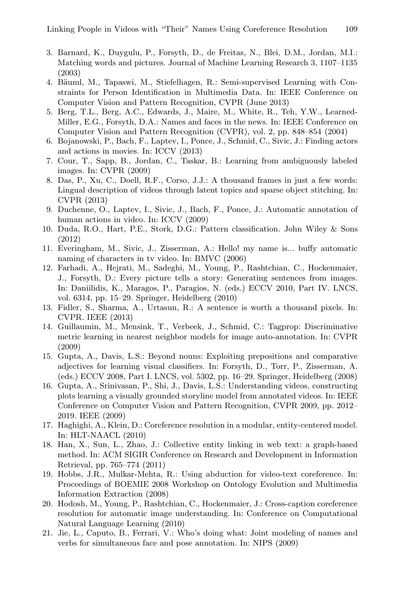- <span id="page-14-6"></span><span id="page-14-3"></span><span id="page-14-2"></span>3. Barnard, K., Duygulu, P., Forsyth, D., de Freitas, N., Blei, D.M., Jordan, M.I.: Matching words and pictures. Journal of Machine Learning Research 3, 1107–1135 (2003)
- <span id="page-14-1"></span>4. Bäuml, M., Tapaswi, M., Stiefelhagen, R.: Semi-supervised Learning with Constraints for Person Identification in Multimedia Data. In: IEEE Conference on Computer Vision and Pattern Recognition, CVPR (June 2013)
- <span id="page-14-4"></span>5. Berg, T.L., Berg, A.C., Edwards, J., Maire, M., White, R., Teh, Y.W., Learned-Miller, E.G., Forsyth, D.A.: Names and faces in the news. In: IEEE Conference on Computer Vision and Pattern Recognition (CVPR), vol. 2, pp. 848–854 (2004)
- 6. Bojanowski, P., Bach, F., Laptev, I., Ponce, J., Schmid, C., Sivic, J.: Finding actors and actions in movies. In: ICCV (2013)
- <span id="page-14-0"></span>7. Cour, T., Sapp, B., Jordan, C., Taskar, B.: Learning from ambiguously labeled images. In: CVPR (2009)
- 8. Das, P., Xu, C., Doell, R.F., Corso, J.J.: A thousand frames in just a few words: Lingual description of videos through latent topics and sparse object stitching. In: CVPR (2013)
- 9. Duchenne, O., Laptev, I., Sivic, J., Bach, F., Ponce, J.: Automatic annotation of human actions in video. In: ICCV (2009)
- 10. Duda, R.O., Hart, P.E., Stork, D.G.: Pattern classification. John Wiley & Sons (2012)
- <span id="page-14-5"></span>11. Everingham, M., Sivic, J., Zisserman, A.: Hello! my name is... buffy automatic naming of characters in tv video. In: BMVC (2006)
- <span id="page-14-7"></span>12. Farhadi, A., Hejrati, M., Sadeghi, M., Young, P., Rashtchian, C., Hockenmaier, J., Forsyth, D.: Every picture tells a story: Generating sentences from images. In: Daniilidis, K., Maragos, P., Paragios, N. (eds.) ECCV 2010, Part IV. LNCS, vol. 6314, pp. 15–29. Springer, Heidelberg (2010)
- <span id="page-14-9"></span>13. Fidler, S., Sharma, A., Urtasun, R.: A sentence is worth a thousand pixels. In: CVPR. IEEE (2013)
- 14. Guillaumin, M., Mensink, T., Verbeek, J., Schmid, C.: Tagprop: Discriminative metric learning in nearest neighbor models for image auto-annotation. In: CVPR (2009)
- <span id="page-14-13"></span><span id="page-14-12"></span>15. Gupta, A., Davis, L.S.: Beyond nouns: Exploiting prepositions and comparative adjectives for learning visual classifiers. In: Forsyth, D., Torr, P., Zisserman, A. (eds.) ECCV 2008, Part I. LNCS, vol. 5302, pp. 16–29. Springer, Heidelberg (2008)
- <span id="page-14-10"></span>16. Gupta, A., Srinivasan, P., Shi, J., Davis, L.S.: Understanding videos, constructing plots learning a visually grounded storyline model from annotated videos. In: IEEE Conference on Computer Vision and Pattern Recognition, CVPR 2009, pp. 2012– 2019. IEEE (2009)
- <span id="page-14-11"></span>17. Haghighi, A., Klein, D.: Coreference resolution in a modular, entity-centered model. In: HLT-NAACL (2010)
- <span id="page-14-8"></span>18. Han, X., Sun, L., Zhao, J.: Collective entity linking in web text: a graph-based method. In: ACM SIGIR Conference on Research and Development in Information Retrieval, pp. 765–774 (2011)
- 19. Hobbs, J.R., Mulkar-Mehta, R.: Using abduction for video-text coreference. In: Proceedings of BOEMIE 2008 Workshop on Ontology Evolution and Multimedia Information Extraction (2008)
- 20. Hodosh, M., Young, P., Rashtchian, C., Hockenmaier, J.: Cross-caption coreference resolution for automatic image understanding. In: Conference on Computational Natural Language Learning (2010)
- 21. Jie, L., Caputo, B., Ferrari, V.: Who's doing what: Joint modeling of names and verbs for simultaneous face and pose annotation. In: NIPS (2009)